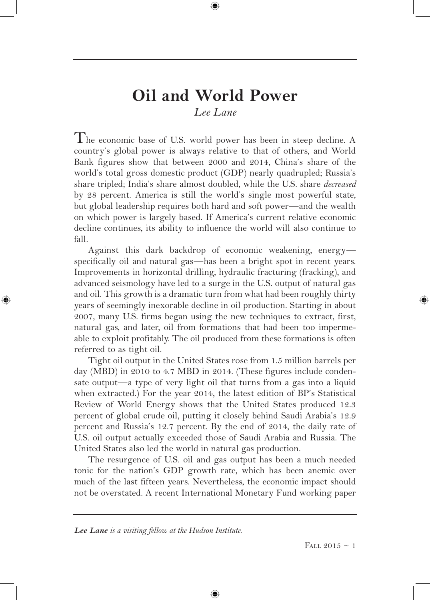# **Oil and World Power** *Lee Lane*

⊕

The economic base of U.S. world power has been in steep decline. A country's global power is always relative to that of others, and World Bank figures show that between 2000 and 2014, China's share of the world's total gross domestic product (GDP) nearly quadrupled; Russia's share tripled; India's share almost doubled, while the U.S. share *decreased* by 28 percent. America is still the world's single most powerful state, but global leadership requires both hard and soft power—and the wealth on which power is largely based. If America's current relative economic decline continues, its ability to influence the world will also continue to fall.

Against this dark backdrop of economic weakening, energy specifically oil and natural gas—has been a bright spot in recent years. Improvements in horizontal drilling, hydraulic fracturing (fracking), and advanced seismology have led to a surge in the U.S. output of natural gas and oil. This growth is a dramatic turn from what had been roughly thirty years of seemingly inexorable decline in oil production. Starting in about 2007, many U.S. firms began using the new techniques to extract, first, natural gas, and later, oil from formations that had been too impermeable to exploit profitably. The oil produced from these formations is often referred to as tight oil.

Tight oil output in the United States rose from 1.5 million barrels per day (MBD) in 2010 to 4.7 MBD in 2014. (These figures include condensate output—a type of very light oil that turns from a gas into a liquid when extracted.) For the year 2014, the latest edition of BP's Statistical Review of World Energy shows that the United States produced 12.3 percent of global crude oil, putting it closely behind Saudi Arabia's 12.9 percent and Russia's 12.7 percent. By the end of 2014, the daily rate of U.S. oil output actually exceeded those of Saudi Arabia and Russia. The United States also led the world in natural gas production.

The resurgence of U.S. oil and gas output has been a much needed tonic for the nation's GDP growth rate, which has been anemic over much of the last fifteen years. Nevertheless, the economic impact should not be overstated. A recent International Monetary Fund working paper

⊕

*Lee Lane is a visiting fellow at the Hudson Institute.*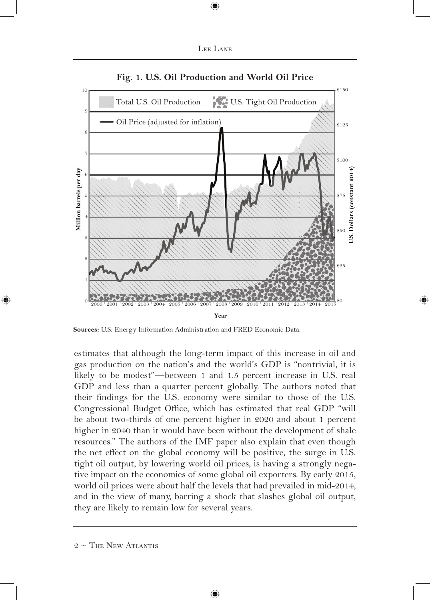

 $\textcircled{\scriptsize{*}}$ 



**Fig. 1. U.S. Oil Production and World Oil Price**

**Sources:** U.S. Energy Information Administration and FRED Economic Data.

estimates that although the long-term impact of this increase in oil and gas production on the nation's and the world's GDP is "nontrivial, it is likely to be modest"—between 1 and 1.5 percent increase in U.S. real GDP and less than a quarter percent globally. The authors noted that their findings for the U.S. economy were similar to those of the U.S. Congressional Budget Office, which has estimated that real GDP "will be about two-thirds of one percent higher in 2020 and about 1 percent higher in 2040 than it would have been without the development of shale resources." The authors of the IMF paper also explain that even though the net effect on the global economy will be positive, the surge in U.S. tight oil output, by lowering world oil prices, is having a strongly negative impact on the economies of some global oil exporters. By early 2015, world oil prices were about half the levels that had prevailed in mid-2014, and in the view of many, barring a shock that slashes global oil output, they are likely to remain low for several years.

 $2 \sim$  The New Atlantis

⊕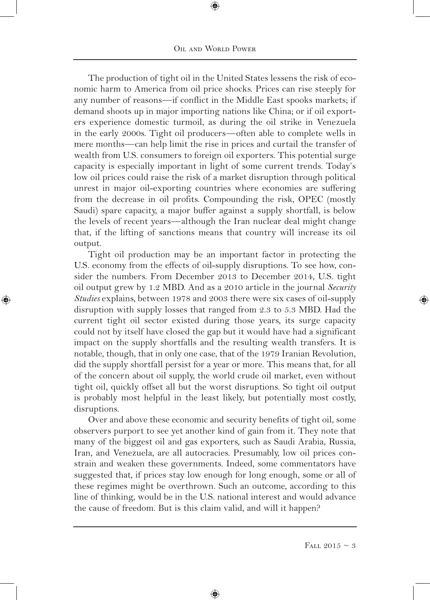⊕

The production of tight oil in the United States lessens the risk of economic harm to America from oil price shocks. Prices can rise steeply for any number of reasons—if conflict in the Middle East spooks markets; if demand shoots up in major importing nations like China; or if oil exporters experience domestic turmoil, as during the oil strike in Venezuela in the early 2000s. Tight oil producers—often able to complete wells in mere months—can help limit the rise in prices and curtail the transfer of wealth from U.S. consumers to foreign oil exporters. This potential surge capacity is especially important in light of some current trends. Today's low oil prices could raise the risk of a market disruption through political unrest in major oil-exporting countries where economies are suffering from the decrease in oil profits. Compounding the risk, OPEC (mostly Saudi) spare capacity, a major buffer against a supply shortfall, is below the levels of recent years—although the Iran nuclear deal might change that, if the lifting of sanctions means that country will increase its oil output.

Tight oil production may be an important factor in protecting the U.S. economy from the effects of oil-supply disruptions. To see how, consider the numbers. From December 2013 to December 2014, U.S. tight oil output grew by 1.2 MBD. And as a 2010 article in the journal *Security Studies* explains, between 1978 and 2003 there were six cases of oil-supply disruption with supply losses that ranged from 2.3 to 5.3 MBD. Had the current tight oil sector existed during those years, its surge capacity could not by itself have closed the gap but it would have had a significant impact on the supply shortfalls and the resulting wealth transfers. It is notable, though, that in only one case, that of the 1979 Iranian Revolution, did the supply shortfall persist for a year or more. This means that, for all of the concern about oil supply, the world crude oil market, even without tight oil, quickly offset all but the worst disruptions. So tight oil output is probably most helpful in the least likely, but potentially most costly, disruptions.

⊕

Over and above these economic and security benefits of tight oil, some observers purport to see yet another kind of gain from it. They note that many of the biggest oil and gas exporters, such as Saudi Arabia, Russia, Iran, and Venezuela, are all autocracies. Presumably, low oil prices constrain and weaken these governments. Indeed, some commentators have suggested that, if prices stay low enough for long enough, some or all of these regimes might be overthrown. Such an outcome, according to this line of thinking, would be in the U.S. national interest and would advance the cause of freedom. But is this claim valid, and will it happen?

⊕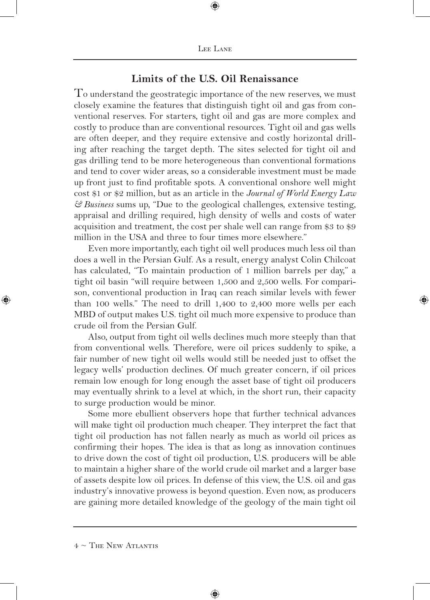### **Limits of the U.S. Oil Renaissance**

To understand the geostrategic importance of the new reserves, we must closely examine the features that distinguish tight oil and gas from conventional reserves. For starters, tight oil and gas are more complex and costly to produce than are conventional resources. Tight oil and gas wells are often deeper, and they require extensive and costly horizontal drilling after reaching the target depth. The sites selected for tight oil and gas drilling tend to be more heterogeneous than conventional formations and tend to cover wider areas, so a considerable investment must be made up front just to find profitable spots. A conventional onshore well might cost \$1 or \$2 million, but as an article in the *Journal of World Energy Law & Business* sums up, "Due to the geological challenges, extensive testing, appraisal and drilling required, high density of wells and costs of water acquisition and treatment, the cost per shale well can range from \$3 to \$9 million in the USA and three to four times more elsewhere."

Even more importantly, each tight oil well produces much less oil than does a well in the Persian Gulf. As a result, energy analyst Colin Chilcoat has calculated, "To maintain production of 1 million barrels per day," a tight oil basin "will require between 1,500 and 2,500 wells. For comparison, conventional production in Iraq can reach similar levels with fewer than 100 wells." The need to drill 1,400 to 2,400 more wells per each MBD of output makes U.S. tight oil much more expensive to produce than crude oil from the Persian Gulf.

Also, output from tight oil wells declines much more steeply than that from conventional wells. Therefore, were oil prices suddenly to spike, a fair number of new tight oil wells would still be needed just to offset the legacy wells' production declines. Of much greater concern, if oil prices remain low enough for long enough the asset base of tight oil producers may eventually shrink to a level at which, in the short run, their capacity to surge production would be minor.

Some more ebullient observers hope that further technical advances will make tight oil production much cheaper. They interpret the fact that tight oil production has not fallen nearly as much as world oil prices as confirming their hopes. The idea is that as long as innovation continues to drive down the cost of tight oil production, U.S. producers will be able to maintain a higher share of the world crude oil market and a larger base of assets despite low oil prices. In defense of this view, the U.S. oil and gas industry's innovative prowess is beyond question. Even now, as producers are gaining more detailed knowledge of the geology of the main tight oil

⊕

 $4 \sim$  The New Atlantis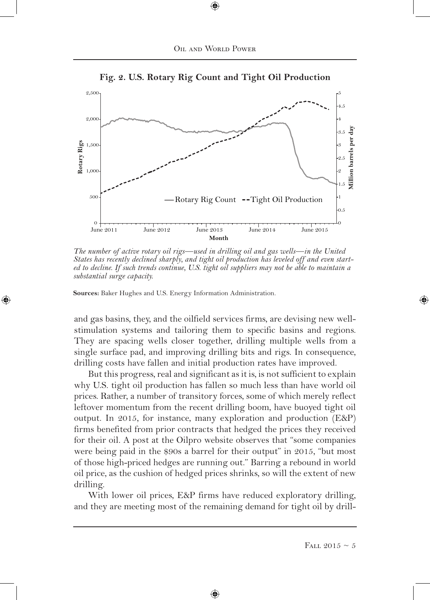

**Fig. 2. U.S. Rotary Rig Count and Tight Oil Production**

*The number of active rotary oil rigs—used in drilling oil and gas wells—in the United States has recently declined sharply, and tight oil production has leveled off and even started to decline. If such trends continue, U.S. tight oil suppliers may not be able to maintain a substantial surge capacity.*

**Sources:** Baker Hughes and U.S. Energy Information Administration.

⊕

and gas basins, they, and the oilfield services firms, are devising new wellstimulation systems and tailoring them to specific basins and regions. They are spacing wells closer together, drilling multiple wells from a single surface pad, and improving drilling bits and rigs. In consequence, drilling costs have fallen and initial production rates have improved.

But this progress, real and significant as it is, is not sufficient to explain why U.S. tight oil production has fallen so much less than have world oil prices. Rather, a number of transitory forces, some of which merely reflect leftover momentum from the recent drilling boom, have buoyed tight oil output. In 2015, for instance, many exploration and production (E&P) firms benefited from prior contracts that hedged the prices they received for their oil. A post at the Oilpro website observes that "some companies were being paid in the \$90s a barrel for their output" in 2015, "but most of those high-priced hedges are running out." Barring a rebound in world oil price, as the cushion of hedged prices shrinks, so will the extent of new drilling.

With lower oil prices, E&P firms have reduced exploratory drilling, and they are meeting most of the remaining demand for tight oil by drill-

⊕

FALL 2015  $\sim$  5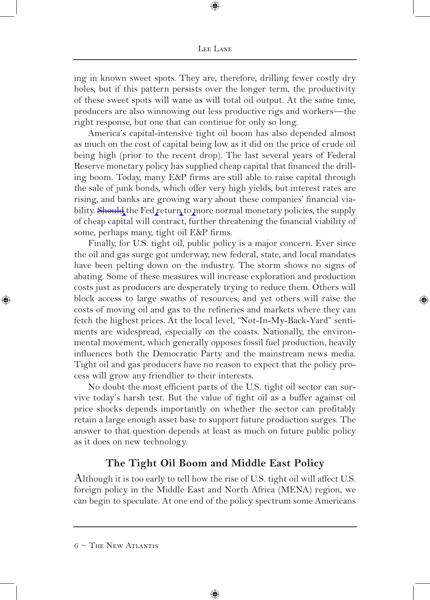ing in known sweet spots. They are, therefore, drilling fewer costly dry holes, but if this pattern persists over the longer term, the productivity of these sweet spots will wane as will total oil output. At the same time, producers are also winnowing out less productive rigs and workers—the right response, but one that can continue for only so long.

America's capital-intensive tight oil boom has also depended almost as much on the cost of capital being low as it did on the price of crude oil being high (prior to the recent drop). The last several years of Federal Reserve monetary policy has supplied cheap capital that financed the drilling boom. Today, many E&P firms are still able to raise capital through the sale of junk bonds, which offer very high yields, but interest rates are rising, and banks are growing wary about these companies' financial viability. Should the Fed return to more normal monetary policies, the supply of cheap capital will contract, further threatening the financial viability of some, perhaps many, tight oil E&P firms.

Finally, for U.S. tight oil, public policy is a major concern. Ever since the oil and gas surge got underway, new federal, state, and local mandates have been pelting down on the industry. The storm shows no signs of abating. Some of these measures will increase exploration and production costs just as producers are desperately trying to reduce them. Others will block access to large swaths of resources, and yet others will raise the costs of moving oil and gas to the refineries and markets where they can fetch the highest prices. At the local level, "Not-In-My-Back-Yard" sentiments are widespread, especially on the coasts. Nationally, the environmental movement, which generally opposes fossil fuel production, heavily influences both the Democratic Party and the mainstream news media. Tight oil and gas producers have no reason to expect that the policy process will grow any friendlier to their interests.

No doubt the most efficient parts of the U.S. tight oil sector can survive today's harsh test. But the value of tight oil as a buffer against oil price shocks depends importantly on whether the sector can profitably retain a large enough asset base to support future production surges. The answer to that question depends at least as much on future public policy as it does on new technology.

### **The Tight Oil Boom and Middle East Policy**

Although it is too early to tell how the rise of U.S. tight oil will affect U.S. foreign policy in the Middle East and North Africa (MENA) region, we can begin to speculate. At one end of the policy spectrum some Americans

⊕

 $6 \sim$  The New Atlantis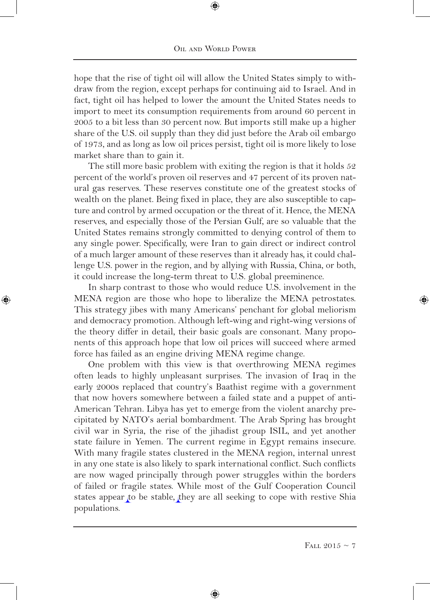⊕

hope that the rise of tight oil will allow the United States simply to withdraw from the region, except perhaps for continuing aid to Israel. And in fact, tight oil has helped to lower the amount the United States needs to import to meet its consumption requirements from around 60 percent in 2005 to a bit less than 30 percent now. But imports still make up a higher share of the U.S. oil supply than they did just before the Arab oil embargo of 1973, and as long as low oil prices persist, tight oil is more likely to lose market share than to gain it.

The still more basic problem with exiting the region is that it holds 52 percent of the world's proven oil reserves and 47 percent of its proven natural gas reserves. These reserves constitute one of the greatest stocks of wealth on the planet. Being fixed in place, they are also susceptible to capture and control by armed occupation or the threat of it. Hence, the MENA reserves, and especially those of the Persian Gulf, are so valuable that the United States remains strongly committed to denying control of them to any single power. Specifically, were Iran to gain direct or indirect control of a much larger amount of these reserves than it already has, it could challenge U.S. power in the region, and by allying with Russia, China, or both, it could increase the long-term threat to U.S. global preeminence.

In sharp contrast to those who would reduce U.S. involvement in the MENA region are those who hope to liberalize the MENA petrostates. This strategy jibes with many Americans' penchant for global meliorism and democracy promotion. Although left-wing and right-wing versions of the theory differ in detail, their basic goals are consonant. Many proponents of this approach hope that low oil prices will succeed where armed force has failed as an engine driving MENA regime change.

⊕

One problem with this view is that overthrowing MENA regimes often leads to highly unpleasant surprises. The invasion of Iraq in the early 2000s replaced that country's Baathist regime with a government that now hovers somewhere between a failed state and a puppet of anti-American Tehran. Libya has yet to emerge from the violent anarchy precipitated by NATO's aerial bombardment. The Arab Spring has brought civil war in Syria, the rise of the jihadist group ISIL, and yet another state failure in Yemen. The current regime in Egypt remains insecure. With many fragile states clustered in the MENA region, internal unrest in any one state is also likely to spark international conflict. Such conflicts are now waged principally through power struggles within the borders of failed or fragile states. While most of the Gulf Cooperation Council states appear to be stable, they are all seeking to cope with restive Shia populations.

⊕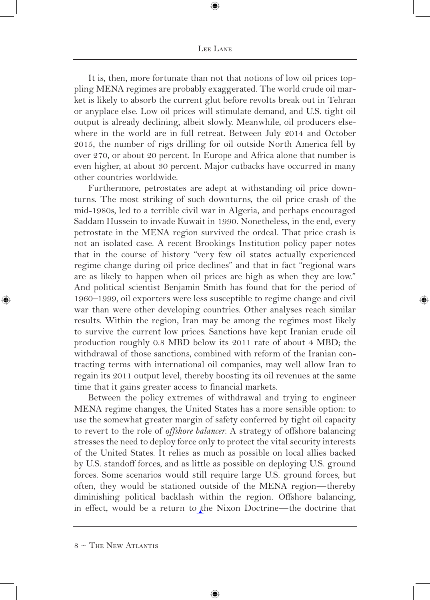#### Lee Lane

⊕

It is, then, more fortunate than not that notions of low oil prices toppling MENA regimes are probably exaggerated. The world crude oil market is likely to absorb the current glut before revolts break out in Tehran or anyplace else. Low oil prices will stimulate demand, and U.S. tight oil output is already declining, albeit slowly. Meanwhile, oil producers elsewhere in the world are in full retreat. Between July 2014 and October 2015, the number of rigs drilling for oil outside North America fell by over 270, or about 20 percent. In Europe and Africa alone that number is even higher, at about 30 percent. Major cutbacks have occurred in many other countries worldwide.

Furthermore, petrostates are adept at withstanding oil price downturns. The most striking of such downturns, the oil price crash of the mid-1980s, led to a terrible civil war in Algeria, and perhaps encouraged Saddam Hussein to invade Kuwait in 1990. Nonetheless, in the end, every petrostate in the MENA region survived the ordeal. That price crash is not an isolated case. A recent Brookings Institution policy paper notes that in the course of history "very few oil states actually experienced regime change during oil price declines" and that in fact "regional wars are as likely to happen when oil prices are high as when they are low." And political scientist Benjamin Smith has found that for the period of 1960–1999, oil exporters were less susceptible to regime change and civil war than were other developing countries. Other analyses reach similar results. Within the region, Iran may be among the regimes most likely to survive the current low prices. Sanctions have kept Iranian crude oil production roughly 0.8 MBD below its 2011 rate of about 4 MBD; the withdrawal of those sanctions, combined with reform of the Iranian contracting terms with international oil companies, may well allow Iran to regain its 2011 output level, thereby boosting its oil revenues at the same time that it gains greater access to financial markets.

Between the policy extremes of withdrawal and trying to engineer MENA regime changes, the United States has a more sensible option: to use the somewhat greater margin of safety conferred by tight oil capacity to revert to the role of *offshore balancer*. A strategy of offshore balancing stresses the need to deploy force only to protect the vital security interests of the United States. It relies as much as possible on local allies backed by U.S. standoff forces, and as little as possible on deploying U.S. ground forces. Some scenarios would still require large U.S. ground forces, but often, they would be stationed outside of the MENA region—thereby diminishing political backlash within the region. Offshore balancing, in effect, would be a return to the Nixon Doctrine—the doctrine that

⊕

 $8 \sim$  The New Atlantis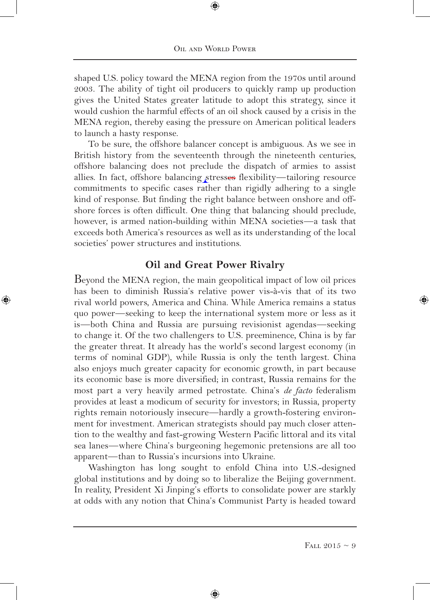shaped U.S. policy toward the MENA region from the 1970s until around 2003. The ability of tight oil producers to quickly ramp up production gives the United States greater latitude to adopt this strategy, since it would cushion the harmful effects of an oil shock caused by a crisis in the MENA region, thereby easing the pressure on American political leaders to launch a hasty response.

To be sure, the offshore balancer concept is ambiguous. As we see in British history from the seventeenth through the nineteenth centuries, offshore balancing does not preclude the dispatch of armies to assist allies. In fact, offshore balancing stresses flexibility—tailoring resource commitments to specific cases rather than rigidly adhering to a single kind of response. But finding the right balance between onshore and offshore forces is often difficult. One thing that balancing should preclude, however, is armed nation-building within MENA societies—a task that exceeds both America's resources as well as its understanding of the local societies' power structures and institutions.

### **Oil and Great Power Rivalry**

⊕

Beyond the MENA region, the main geopolitical impact of low oil prices has been to diminish Russia's relative power vis-à-vis that of its two rival world powers, America and China. While America remains a status quo power—seeking to keep the international system more or less as it is—both China and Russia are pursuing revisionist agendas—seeking to change it. Of the two challengers to U.S. preeminence, China is by far the greater threat. It already has the world's second largest economy (in terms of nominal GDP), while Russia is only the tenth largest. China also enjoys much greater capacity for economic growth, in part because its economic base is more diversified; in contrast, Russia remains for the most part a very heavily armed petrostate. China's *de facto* federalism provides at least a modicum of security for investors; in Russia, property rights remain notoriously insecure—hardly a growth-fostering environment for investment. American strategists should pay much closer attention to the wealthy and fast-growing Western Pacific littoral and its vital sea lanes—where China's burgeoning hegemonic pretensions are all too apparent—than to Russia's incursions into Ukraine.

Washington has long sought to enfold China into U.S.-designed global institutions and by doing so to liberalize the Beijing government. In reality, President Xi Jinping's efforts to consolidate power are starkly at odds with any notion that China's Communist Party is headed toward

⊕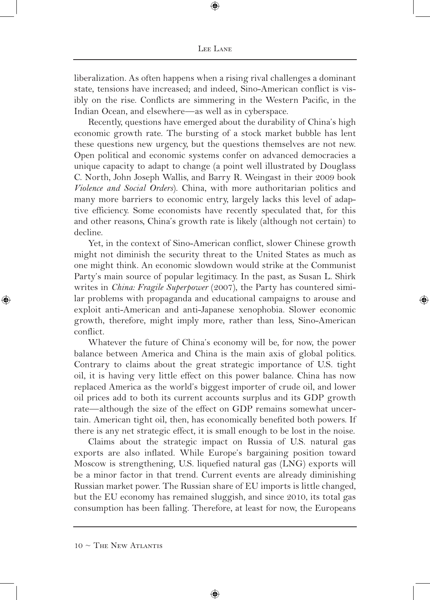liberalization. As often happens when a rising rival challenges a dominant state, tensions have increased; and indeed, Sino-American conflict is visibly on the rise. Conflicts are simmering in the Western Pacific, in the Indian Ocean, and elsewhere—as well as in cyberspace.

Recently, questions have emerged about the durability of China's high economic growth rate. The bursting of a stock market bubble has lent these questions new urgency, but the questions themselves are not new. Open political and economic systems confer on advanced democracies a unique capacity to adapt to change (a point well illustrated by Douglass C. North, John Joseph Wallis, and Barry R. Weingast in their 2009 book *Violence and Social Orders*). China, with more authoritarian politics and many more barriers to economic entry, largely lacks this level of adaptive efficiency. Some economists have recently speculated that, for this and other reasons, China's growth rate is likely (although not certain) to decline.

Yet, in the context of Sino-American conflict, slower Chinese growth might not diminish the security threat to the United States as much as one might think. An economic slowdown would strike at the Communist Party's main source of popular legitimacy. In the past, as Susan L. Shirk writes in *China: Fragile Superpower* (2007), the Party has countered similar problems with propaganda and educational campaigns to arouse and exploit anti-American and anti-Japanese xenophobia. Slower economic growth, therefore, might imply more, rather than less, Sino-American conflict.

Whatever the future of China's economy will be, for now, the power balance between America and China is the main axis of global politics. Contrary to claims about the great strategic importance of U.S. tight oil, it is having very little effect on this power balance. China has now replaced America as the world's biggest importer of crude oil, and lower oil prices add to both its current accounts surplus and its GDP growth rate—although the size of the effect on GDP remains somewhat uncertain. American tight oil, then, has economically benefited both powers. If there is any net strategic effect, it is small enough to be lost in the noise.

Claims about the strategic impact on Russia of U.S. natural gas exports are also inflated. While Europe's bargaining position toward Moscow is strengthening, U.S. liquefied natural gas (LNG) exports will be a minor factor in that trend. Current events are already diminishing Russian market power. The Russian share of EU imports is little changed, but the EU economy has remained sluggish, and since 2010, its total gas consumption has been falling. Therefore, at least for now, the Europeans

⊕

 $10 \sim$  The New Atlantis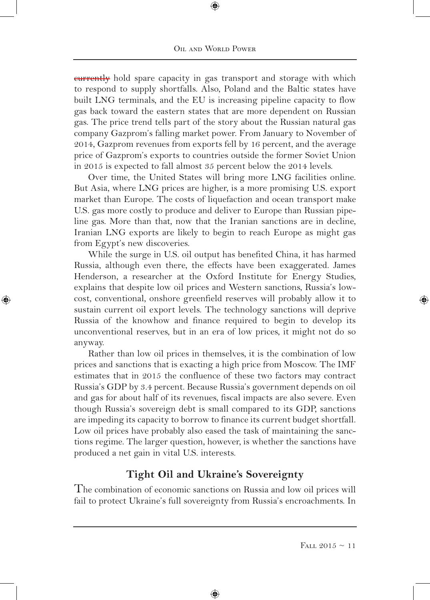⊕

**eurrently** hold spare capacity in gas transport and storage with which to respond to supply shortfalls. Also, Poland and the Baltic states have built LNG terminals, and the EU is increasing pipeline capacity to flow gas back toward the eastern states that are more dependent on Russian gas. The price trend tells part of the story about the Russian natural gas company Gazprom's falling market power. From January to November of 2014, Gazprom revenues from exports fell by 16 percent, and the average price of Gazprom's exports to countries outside the former Soviet Union in 2015 is expected to fall almost 35 percent below the 2014 levels.

Over time, the United States will bring more LNG facilities online. But Asia, where LNG prices are higher, is a more promising U.S. export market than Europe. The costs of liquefaction and ocean transport make U.S. gas more costly to produce and deliver to Europe than Russian pipeline gas. More than that, now that the Iranian sanctions are in decline, Iranian LNG exports are likely to begin to reach Europe as might gas from Egypt's new discoveries.

While the surge in U.S. oil output has benefited China, it has harmed Russia, although even there, the effects have been exaggerated. James Henderson, a researcher at the Oxford Institute for Energy Studies, explains that despite low oil prices and Western sanctions, Russia's lowcost, conventional, onshore greenfield reserves will probably allow it to sustain current oil export levels. The technology sanctions will deprive Russia of the knowhow and finance required to begin to develop its unconventional reserves, but in an era of low prices, it might not do so anyway.

⊕

Rather than low oil prices in themselves, it is the combination of low prices and sanctions that is exacting a high price from Moscow. The IMF estimates that in 2015 the confluence of these two factors may contract Russia's GDP by 3.4 percent. Because Russia's government depends on oil and gas for about half of its revenues, fiscal impacts are also severe. Even though Russia's sovereign debt is small compared to its GDP, sanctions are impeding its capacity to borrow to finance its current budget shortfall. Low oil prices have probably also eased the task of maintaining the sanctions regime. The larger question, however, is whether the sanctions have produced a net gain in vital U.S. interests.

## **Tight Oil and Ukraine's Sovereignty**

The combination of economic sanctions on Russia and low oil prices will fail to protect Ukraine's full sovereignty from Russia's encroachments. In

⊕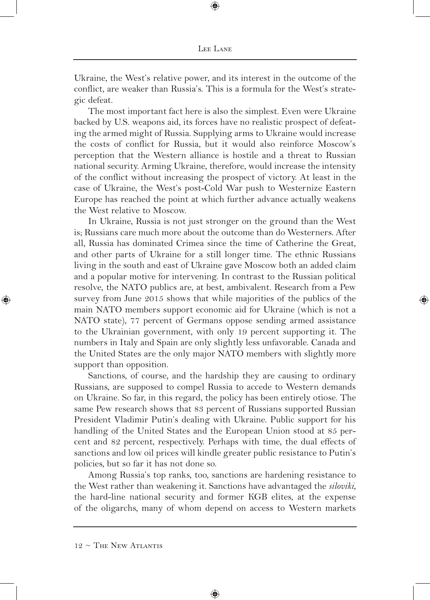Ukraine, the West's relative power, and its interest in the outcome of the conflict, are weaker than Russia's. This is a formula for the West's strategic defeat.

The most important fact here is also the simplest. Even were Ukraine backed by U.S. weapons aid, its forces have no realistic prospect of defeating the armed might of Russia. Supplying arms to Ukraine would increase the costs of conflict for Russia, but it would also reinforce Moscow's perception that the Western alliance is hostile and a threat to Russian national security. Arming Ukraine, therefore, would increase the intensity of the conflict without increasing the prospect of victory. At least in the case of Ukraine, the West's post-Cold War push to Westernize Eastern Europe has reached the point at which further advance actually weakens the West relative to Moscow.

In Ukraine, Russia is not just stronger on the ground than the West is; Russians care much more about the outcome than do Westerners. After all, Russia has dominated Crimea since the time of Catherine the Great, and other parts of Ukraine for a still longer time. The ethnic Russians living in the south and east of Ukraine gave Moscow both an added claim and a popular motive for intervening. In contrast to the Russian political resolve, the NATO publics are, at best, ambivalent. Research from a Pew survey from June 2015 shows that while majorities of the publics of the main NATO members support economic aid for Ukraine (which is not a NATO state), 77 percent of Germans oppose sending armed assistance to the Ukrainian government, with only 19 percent supporting it. The numbers in Italy and Spain are only slightly less unfavorable. Canada and the United States are the only major NATO members with slightly more support than opposition.

Sanctions, of course, and the hardship they are causing to ordinary Russians, are supposed to compel Russia to accede to Western demands on Ukraine. So far, in this regard, the policy has been entirely otiose. The same Pew research shows that 83 percent of Russians supported Russian President Vladimir Putin's dealing with Ukraine. Public support for his handling of the United States and the European Union stood at 85 percent and 82 percent, respectively. Perhaps with time, the dual effects of sanctions and low oil prices will kindle greater public resistance to Putin's policies, but so far it has not done so.

Among Russia's top ranks, too, sanctions are hardening resistance to the West rather than weakening it. Sanctions have advantaged the *siloviki*, the hard-line national security and former KGB elites, at the expense of the oligarchs, many of whom depend on access to Western markets

⊕

 $12 \sim$  The New Atlantis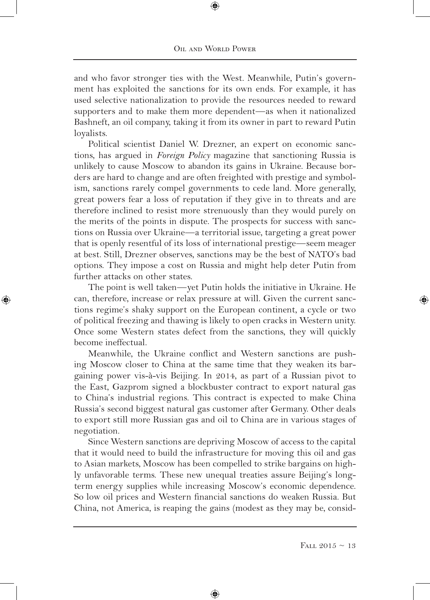and who favor stronger ties with the West. Meanwhile, Putin's government has exploited the sanctions for its own ends. For example, it has used selective nationalization to provide the resources needed to reward supporters and to make them more dependent—as when it nationalized Bashneft, an oil company, taking it from its owner in part to reward Putin loyalists.

Political scientist Daniel W. Drezner, an expert on economic sanctions, has argued in *Foreign Policy* magazine that sanctioning Russia is unlikely to cause Moscow to abandon its gains in Ukraine. Because borders are hard to change and are often freighted with prestige and symbolism, sanctions rarely compel governments to cede land. More generally, great powers fear a loss of reputation if they give in to threats and are therefore inclined to resist more strenuously than they would purely on the merits of the points in dispute. The prospects for success with sanctions on Russia over Ukraine—a territorial issue, targeting a great power that is openly resentful of its loss of international prestige—seem meager at best. Still, Drezner observes, sanctions may be the best of NATO's bad options. They impose a cost on Russia and might help deter Putin from further attacks on other states.

The point is well taken—yet Putin holds the initiative in Ukraine. He can, therefore, increase or relax pressure at will. Given the current sanctions regime's shaky support on the European continent, a cycle or two of political freezing and thawing is likely to open cracks in Western unity. Once some Western states defect from the sanctions, they will quickly become ineffectual.

⊕

Meanwhile, the Ukraine conflict and Western sanctions are pushing Moscow closer to China at the same time that they weaken its bargaining power vis-à-vis Beijing. In 2014, as part of a Russian pivot to the East, Gazprom signed a blockbuster contract to export natural gas to China's industrial regions. This contract is expected to make China Russia's second biggest natural gas customer after Germany. Other deals to export still more Russian gas and oil to China are in various stages of negotiation.

Since Western sanctions are depriving Moscow of access to the capital that it would need to build the infrastructure for moving this oil and gas to Asian markets, Moscow has been compelled to strike bargains on highly unfavorable terms. These new unequal treaties assure Beijing's longterm energy supplies while increasing Moscow's economic dependence. So low oil prices and Western financial sanctions do weaken Russia. But China, not America, is reaping the gains (modest as they may be, consid-

⊕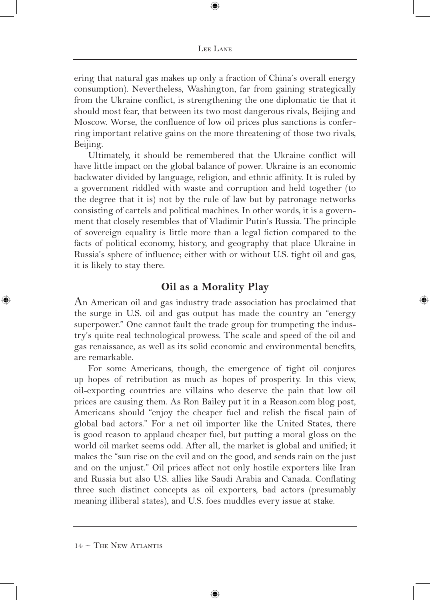Lee Lane

⊕

ering that natural gas makes up only a fraction of China's overall energy consumption). Nevertheless, Washington, far from gaining strategically from the Ukraine conflict, is strengthening the one diplomatic tie that it should most fear, that between its two most dangerous rivals, Beijing and Moscow. Worse, the confluence of low oil prices plus sanctions is conferring important relative gains on the more threatening of those two rivals, Beijing.

Ultimately, it should be remembered that the Ukraine conflict will have little impact on the global balance of power. Ukraine is an economic backwater divided by language, religion, and ethnic affinity. It is ruled by a government riddled with waste and corruption and held together (to the degree that it is) not by the rule of law but by patronage networks consisting of cartels and political machines. In other words, it is a government that closely resembles that of Vladimir Putin's Russia. The principle of sovereign equality is little more than a legal fiction compared to the facts of political economy, history, and geography that place Ukraine in Russia's sphere of influence; either with or without U.S. tight oil and gas, it is likely to stay there.

### **Oil as a Morality Play**

An American oil and gas industry trade association has proclaimed that the surge in U.S. oil and gas output has made the country an "energy superpower." One cannot fault the trade group for trumpeting the industry's quite real technological prowess. The scale and speed of the oil and gas renaissance, as well as its solid economic and environmental benefits, are remarkable.

For some Americans, though, the emergence of tight oil conjures up hopes of retribution as much as hopes of prosperity. In this view, oil-exporting countries are villains who deserve the pain that low oil prices are causing them. As Ron Bailey put it in a Reason.com blog post, Americans should "enjoy the cheaper fuel and relish the fiscal pain of global bad actors." For a net oil importer like the United States, there is good reason to applaud cheaper fuel, but putting a moral gloss on the world oil market seems odd. After all, the market is global and unified; it makes the "sun rise on the evil and on the good, and sends rain on the just and on the unjust." Oil prices affect not only hostile exporters like Iran and Russia but also U.S. allies like Saudi Arabia and Canada. Conflating three such distinct concepts as oil exporters, bad actors (presumably meaning illiberal states), and U.S. foes muddles every issue at stake.

⊕

 $14 \sim$  The New Atlantis